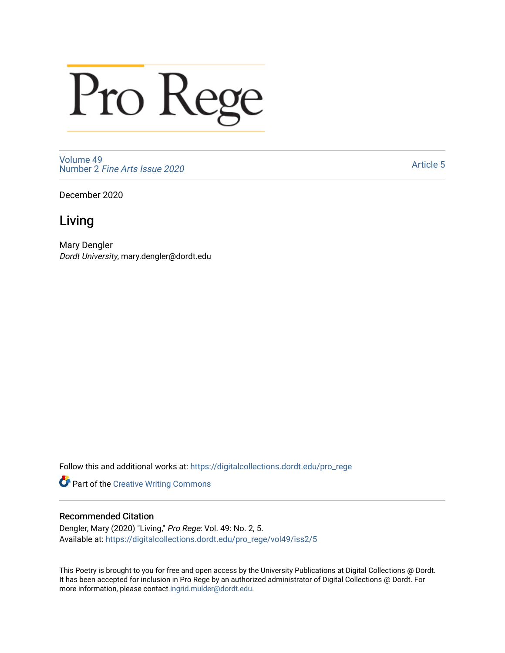## Pro Rege

[Volume 49](https://digitalcollections.dordt.edu/pro_rege/vol49) Number 2 [Fine Arts Issue 2020](https://digitalcollections.dordt.edu/pro_rege/vol49/iss2) 

[Article 5](https://digitalcollections.dordt.edu/pro_rege/vol49/iss2/5) 

December 2020

## Living

Mary Dengler Dordt University, mary.dengler@dordt.edu

Follow this and additional works at: [https://digitalcollections.dordt.edu/pro\\_rege](https://digitalcollections.dordt.edu/pro_rege?utm_source=digitalcollections.dordt.edu%2Fpro_rege%2Fvol49%2Fiss2%2F5&utm_medium=PDF&utm_campaign=PDFCoverPages) 

Part of the [Creative Writing Commons](http://network.bepress.com/hgg/discipline/574?utm_source=digitalcollections.dordt.edu%2Fpro_rege%2Fvol49%2Fiss2%2F5&utm_medium=PDF&utm_campaign=PDFCoverPages) 

## Recommended Citation

Dengler, Mary (2020) "Living," Pro Rege: Vol. 49: No. 2, 5. Available at: [https://digitalcollections.dordt.edu/pro\\_rege/vol49/iss2/5](https://digitalcollections.dordt.edu/pro_rege/vol49/iss2/5?utm_source=digitalcollections.dordt.edu%2Fpro_rege%2Fvol49%2Fiss2%2F5&utm_medium=PDF&utm_campaign=PDFCoverPages) 

This Poetry is brought to you for free and open access by the University Publications at Digital Collections @ Dordt. It has been accepted for inclusion in Pro Rege by an authorized administrator of Digital Collections @ Dordt. For more information, please contact [ingrid.mulder@dordt.edu.](mailto:ingrid.mulder@dordt.edu)